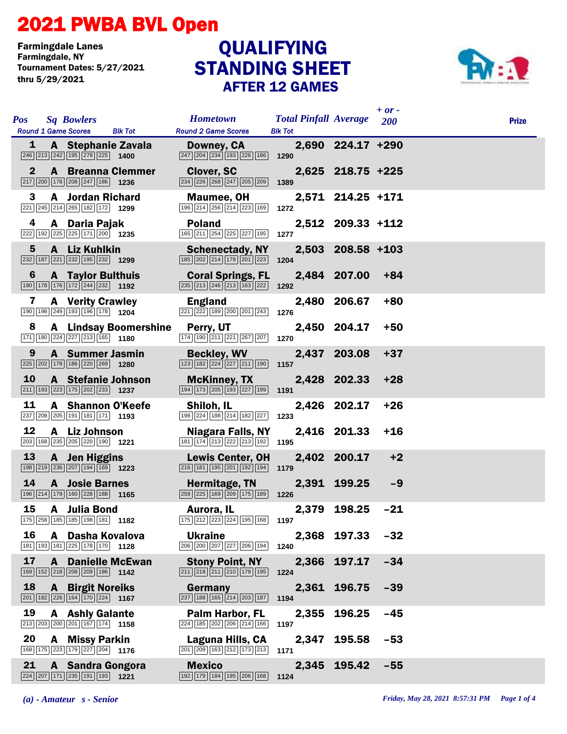## 2021 PWBA BVL Open

Farmingdale Lanes Tournament Dates: 5/27/2021 thru 5/29/2021

## STANDING SHEET AFTER 12 GAMES **QUALIFYING**



| <b>Pos</b>   | <b>Sq Bowlers</b>                                                                                                           |                                      | <b>Hometown</b>                                                                                                 | <b>Total Pinfall Average</b> |                   | $+$ or $-$<br><b>200</b> | <b>Prize</b> |
|--------------|-----------------------------------------------------------------------------------------------------------------------------|--------------------------------------|-----------------------------------------------------------------------------------------------------------------|------------------------------|-------------------|--------------------------|--------------|
| 1            | <b>Round 1 Game Scores</b>                                                                                                  | <b>Blk Tot</b><br>A Stephanie Zavala | <b>Round 2 Game Scores</b><br>Downey, CA                                                                        | <b>Blk Tot</b>               | 2,690 224.17 +290 |                          |              |
|              | $\boxed{246}$ $\boxed{213}$ $\boxed{242}$ $\boxed{195}$ $\boxed{279}$ $\boxed{225}$ <b>1400</b>                             |                                      | 247 204 234 193 226 186                                                                                         | 1290                         |                   |                          |              |
| $\mathbf{2}$ | $\boxed{217}$ $\boxed{200}$ $\boxed{178}$ $\boxed{208}$ $\boxed{247}$ $\boxed{186}$ <b>1236</b>                             | <b>A</b> Breanna Clemmer             | <b>Clover, SC</b><br>234 226 268 247 205 209                                                                    | 1389                         | 2,625 218.75 +225 |                          |              |
| 3            | <b>A</b> Jordan Richard<br>221 245 214 265 182 172 1299                                                                     |                                      | Maumee, OH<br>196 214 256 214 223 169                                                                           | 1272                         | 2,571 214.25 +171 |                          |              |
| 4            | A Daria Pajak<br>222 192 225 225 171 200 1235                                                                               |                                      | <b>Poland</b><br>165 211 254 225 227 195                                                                        | 1277                         | 2,512 209.33 +112 |                          |              |
| 5            | A Liz Kuhlkin<br>$\boxed{232}$ 187 221 232 195 232 1299                                                                     |                                      | <b>Schenectady, NY</b><br>185 202 214 179 201 223                                                               | 1204                         | 2,503 208.58 +103 |                          |              |
| 6            | <b>A</b> Taylor Bulthuis<br>$\boxed{190}$ $\boxed{178}$ $\boxed{176}$ $\boxed{172}$ $\boxed{244}$ $\boxed{232}$ <b>1192</b> |                                      | <b>Coral Springs, FL</b><br>$\boxed{235}$ $\boxed{213}$ $\boxed{246}$ $\boxed{213}$ $\boxed{163}$ $\boxed{222}$ | 1292                         | 2,484 207.00      | $+84$                    |              |
| 7            | <b>A</b> Verity Crawley<br>190 198 249 193 196 178 1204                                                                     |                                      | <b>England</b><br>221 222 189 200 201 243                                                                       | 1276                         | 2,480 206.67      | $+80$                    |              |
| 8            | 171 180 224 227 213 165 1180                                                                                                | <b>A</b> Lindsay Boomershine         | Perry, UT<br>174 190 211 221 267 207                                                                            | 1270                         | 2,450 204.17      | $+50$                    |              |
| 9            | <b>A</b> Summer Jasmin<br>225 202 178 186 220 269 1280                                                                      |                                      | <b>Beckley, WV</b><br>123 182 224 227 211 190                                                                   | 1157                         | 2,437 203.08      | $+37$                    |              |
| <b>10</b>    | 211 193 223 175 202 233 1237                                                                                                | A Stefanie Johnson                   | <b>McKinney, TX</b><br>194 173 205 193 227 199                                                                  | 1191                         | 2,428 202.33      | $+28$                    |              |
| 11           | 237 208 205 191 181 171 193                                                                                                 | A Shannon O'Keefe                    | Shiloh, IL<br>198 224 188 214 182 227                                                                           | 1233                         | 2,426 202.17      | $+26$                    |              |
| 12           | A Liz Johnson<br>203 168 235 205 220 190 1221                                                                               |                                      | Niagara Falls, NY<br>181 174 213 222 213 192                                                                    | 1195                         | 2,416 201.33      | $+16$                    |              |
| 13           | A Jen Higgins<br>198 219 236 207 194 169 1223                                                                               |                                      | <b>Lewis Center, OH</b><br>$\boxed{216}$ 181 195 201 192 194                                                    | 1179                         | 2,402 200.17      | $+2$                     |              |
| 14           | <b>A</b> Josie Barnes<br>196 214 179 160 228 188 1165                                                                       |                                      | Hermitage, TN<br>259 225 169 209 175 189                                                                        | 1226                         | 2,391 199.25      | $-9$                     |              |
| 15           | A Julia Bond<br>175 258 185 185 198 181 182                                                                                 |                                      | Aurora, IL<br>175 212 223 224 195 168 1197                                                                      |                              | 2,379 198.25      | $-21$                    |              |
| 16           | A Dasha Kovalova<br>181 193 181 225 178 170 1128                                                                            |                                      | <b>Ukraine</b><br>206 200 207 227 206 194                                                                       | 1240                         | 2,368 197.33      | $-32$                    |              |
| 17           | 169 152 218 208 209 186 1142                                                                                                | <b>A</b> Danielle McEwan             | <b>Stony Point, NY</b><br>$\boxed{211}$ $\boxed{218}$ $\boxed{211}$ $\boxed{210}$ $\boxed{179}$ $\boxed{195}$   | 1224                         | 2,366 197.17      | $-34$                    |              |
| 18           | <b>A</b> Birgit Noreiks<br>201 182 226 164 170 224 1167                                                                     |                                      | Germany<br>$\boxed{237}$ 188 165 214 203 187                                                                    | 1194                         | 2,361 196.75      | $-39$                    |              |
| 19           | <b>A</b> Ashly Galante<br>213 203 200 201 167 174 1158                                                                      |                                      | Palm Harbor, FL<br>224 185 202 206 214 166                                                                      | 1197                         | 2,355 196.25      | $-45$                    |              |
| 20           | <b>A</b> Missy Parkin<br>168 175 223 179 227 204 176                                                                        |                                      | Laguna Hills, CA<br>201 209 163 212 173 213                                                                     | 2,347<br>1171                | 195.58            | $-53$                    |              |
| 21           | A Sandra Gongora<br>224 207 171 235 191 193 1221                                                                            |                                      | <b>Mexico</b><br>192 179 184 195 206 168                                                                        | 1124                         | 2,345 195.42      | $-55$                    |              |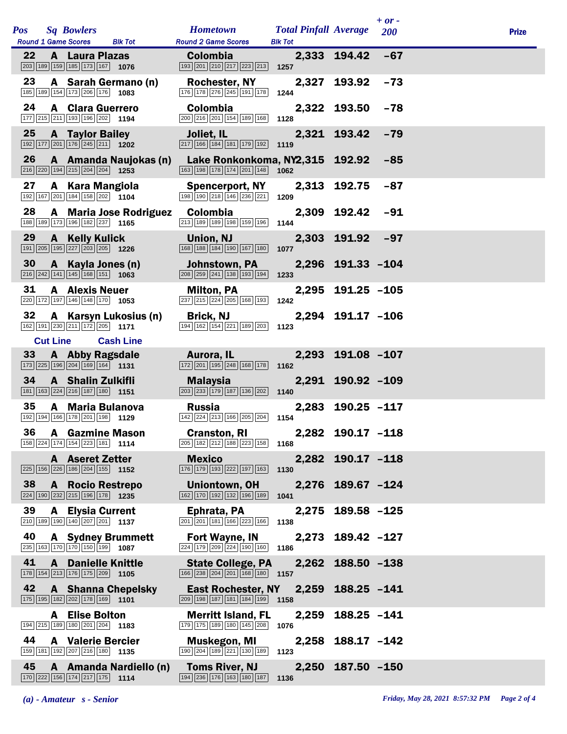|     |                                                                                                                              |                                                                                                        |                                                |                   | $+ or -$ |              |
|-----|------------------------------------------------------------------------------------------------------------------------------|--------------------------------------------------------------------------------------------------------|------------------------------------------------|-------------------|----------|--------------|
| Pos | <b>Sq Bowlers</b><br><b>Round 1 Game Scores</b><br><b>Blk Tot</b>                                                            | <b>Hometown</b><br><b>Round 2 Game Scores</b>                                                          | <b>Total Pinfall Average</b><br><b>Blk Tot</b> |                   | 200      | <b>Prize</b> |
| 22  | <b>A</b> Laura Plazas<br>203 189 159 185 173 167 1076                                                                        | <b>Colombia</b><br>$\boxed{193}$ $\boxed{201}$ $\boxed{210}$ $\boxed{217}$ $\boxed{223}$ $\boxed{213}$ | 1257                                           | 2,333 194.42      | $-67$    |              |
| 23  | A Sarah Germano (n)<br>185 189 154 173 206 176 1083                                                                          | <b>Rochester, NY</b><br>176 178 276 245 191 178                                                        | 1244                                           | 2,327 193.92      | $-73$    |              |
| 24  | <b>A</b> Clara Guerrero<br>177 215 211 193 196 202 1194                                                                      | <b>Colombia</b><br>200 216 201 154 189 168                                                             | 1128                                           | 2,322 193.50      | $-78$    |              |
| 25  | <b>A</b> Taylor Bailey<br>$\boxed{192}\boxed{177}\boxed{201}\boxed{176}\boxed{245}\boxed{211}$ 1202                          | Joliet, IL<br>217 166 184 181 179 192                                                                  | 1119                                           | 2,321 193.42      | $-79$    |              |
| 26  | A Amanda Naujokas (n)<br>$\boxed{216}$ $\boxed{220}$ $\boxed{194}$ $\boxed{215}$ $\boxed{204}$ $\boxed{204}$ <b>1253</b>     | Lake Ronkonkoma, NY2,315 192.92<br>163 198 178 174 201 148                                             | 1062                                           |                   | $-85$    |              |
| 27  | A Kara Mangiola<br>192 167 201 184 158 202 1104                                                                              | <b>Spencerport, NY</b><br>198 190 218 146 236 221                                                      | 1209                                           | 2,313 192.75      | $-87$    |              |
| 28  | A Maria Jose Rodriguez<br>188 189 173 196 182 237 1165                                                                       | <b>Colombia</b><br>213 189 189 198 159 196                                                             | 1144                                           | 2,309 192.42      | $-91$    |              |
| 29  | <b>A</b> Kelly Kulick<br>191 205 195 227 203 205 1226                                                                        | Union, NJ<br>168 188 184 190 167 180                                                                   | 1077                                           | 2,303 191.92      | $-97$    |              |
| 30  | A Kayla Jones (n)<br>$\boxed{216}\boxed{242}\boxed{141}\boxed{145}\boxed{168}\boxed{151}$ 1063                               | Johnstown, PA<br>208 259 241 138 193 194                                                               | 1233                                           | 2,296 191.33 -104 |          |              |
| 31  | <b>A</b> Alexis Neuer<br>220 172 197 146 148 170 1053                                                                        | <b>Milton, PA</b><br>237 215 224 205 168 193                                                           | 1242                                           | 2,295 191.25 -105 |          |              |
| 32  | A Karsyn Lukosius (n)<br>162 191 230 211 172 205 1171                                                                        | <b>Brick, NJ</b><br>194 162 154 221 189 203                                                            | 1123                                           | 2,294 191.17 -106 |          |              |
|     | <b>Cut Line</b><br><b>Cash Line</b>                                                                                          |                                                                                                        |                                                |                   |          |              |
| 33  | <b>A</b> Abby Ragsdale<br>173 225 196 204 169 164 1131                                                                       | Aurora, IL<br>$\boxed{172}$ $\boxed{201}$ $\boxed{195}$ $\boxed{248}$ $\boxed{168}$ $\boxed{178}$      | 1162                                           | 2,293 191.08 -107 |          |              |
| 34  | A Shalin Zulkifli<br>181 163 224 216 187 180 1151                                                                            | <b>Malaysia</b><br>203 233 179 187 136 202                                                             | 1140                                           | 2,291 190.92 -109 |          |              |
| 35  | A Maria Bulanova<br>192 194 166 178 201 198 1129                                                                             | <b>Russia</b><br>142 224 213 166 205 204                                                               | 1154                                           | 2,283 190.25 -117 |          |              |
|     | 36 A Gazmine Mason<br>$\boxed{158}\boxed{224}\boxed{174}\boxed{154}\boxed{223}\boxed{181}$ 1114                              | <b>Cranston, RI</b><br>$\boxed{205}$ 182 $\boxed{212}$ 188 $\boxed{223}$ 158 1168                      |                                                | 2,282 190.17 -118 |          |              |
|     | <b>A</b> Aseret Zetter<br>225 156 226 186 204 155 1152                                                                       | <b>Mexico</b><br>176 179 193 222 197 163                                                               | 1130                                           | 2,282 190.17 -118 |          |              |
| 38  | <b>A</b> Rocio Restrepo<br>224 190 232 215 196 178 1235                                                                      | Uniontown, OH<br>162 170 192 132 196 189                                                               | 1041                                           | 2,276 189.67 -124 |          |              |
| 39  | <b>A</b> Elysia Current<br>210 189 190 140 207 201 1137                                                                      | Ephrata, PA<br>$\boxed{201}$ $\boxed{201}$ $\boxed{181}$ $\boxed{166}$ $\boxed{223}$ $\boxed{166}$     | 1138                                           | 2,275 189.58 -125 |          |              |
| 40  | <b>A</b> Sydney Brummett<br>235 163 170 170 150 199 1087                                                                     | <b>Fort Wayne, IN</b><br>224 179 209 224 190 160                                                       | 1186                                           | 2,273 189.42 -127 |          |              |
| 41  | <b>A</b> Danielle Knittle<br>178 154 213 176 175 209 1105                                                                    | <b>State College, PA</b><br>166 238 204 201 168 180 157                                                |                                                | 2,262 188.50 -138 |          |              |
| 42  | <b>A</b> Shanna Chepelsky<br>$\boxed{175}$ $\boxed{195}$ $\boxed{182}$ $\boxed{202}$ $\boxed{178}$ $\boxed{169}$ <b>1101</b> | East Rochester, NY<br>$\boxed{209}$ 198 187 181 184 199 1158                                           |                                                | 2,259 188.25 -141 |          |              |
|     | <b>A</b> Elise Bolton<br>194 215 189 180 201 204 1183                                                                        | <b>Merritt Island, FL</b><br>179 175 189 180 145 208                                                   | 1076                                           | 2,259 188.25 -141 |          |              |
| 44  | <b>A</b> Valerie Bercier<br>159 181 192 207 216 180 1135                                                                     | Muskegon, MI<br>190 204 189 221 130 189                                                                | 1123                                           | 2,258 188.17 -142 |          |              |
| 45  | A Amanda Nardiello (n)<br>170 222 156 174 217 175 1114                                                                       | <b>Toms River, NJ</b><br>194 236 176 163 180 187                                                       | 1136                                           | 2,250 187.50 -150 |          |              |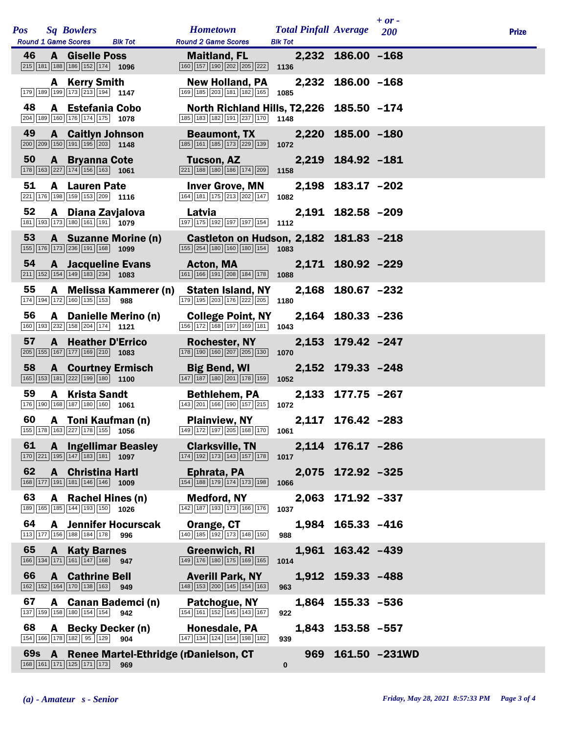|            |              |                                                                                                                             |                                    |                                                                                                             |                                                |                   | $+$ or -          |              |
|------------|--------------|-----------------------------------------------------------------------------------------------------------------------------|------------------------------------|-------------------------------------------------------------------------------------------------------------|------------------------------------------------|-------------------|-------------------|--------------|
| <b>Pos</b> |              | <b>Sq Bowlers</b><br><b>Round 1 Game Scores</b>                                                                             | <b>Blk Tot</b>                     | <b>Hometown</b><br><b>Round 2 Game Scores</b>                                                               | <b>Total Pinfall Average</b><br><b>Blk Tot</b> |                   | <b>200</b>        | <b>Prize</b> |
| 46         |              | <b>A</b> Giselle Poss<br>$\boxed{215}$ 181 188 186 152 174 1096                                                             |                                    | <b>Maitland, FL</b><br>160 157 190 202 205 222                                                              | 1136                                           | 2,232 186.00 -168 |                   |              |
|            |              | A Kerry Smith<br>179 189 199 173 213 194 1147                                                                               |                                    | <b>New Holland, PA</b><br>169 185 203 181 182 165                                                           | 1085                                           | 2,232 186.00 -168 |                   |              |
| 48         |              | A Estefania Cobo<br>204 189 160 176 174 175 1078                                                                            |                                    | North Richland Hills, T2,226 185.50 -174<br>185 183 182 191 237 170 1148                                    |                                                |                   |                   |              |
| 49         |              | <b>A</b> Caitlyn Johnson<br>$\boxed{200}$ $\boxed{209}$ $\boxed{150}$ $\boxed{191}$ $\boxed{195}$ $\boxed{203}$ <b>1148</b> |                                    | <b>Beaumont, TX</b><br>185 161 185 173 229 139                                                              | 1072                                           | 2,220 185.00 -180 |                   |              |
| 50         |              | <b>A</b> Bryanna Cote<br>$\boxed{178}$ $\boxed{163}$ $\boxed{227}$ $\boxed{174}$ $\boxed{156}$ $\boxed{163}$ <b>1061</b>    |                                    | Tucson, AZ<br>221   188   180   186   174   209                                                             | 1158                                           | 2,219 184.92 -181 |                   |              |
| 51         |              | <b>A</b> Lauren Pate<br>221 176 198 159 153 209 1116                                                                        |                                    | <b>Inver Grove, MN</b><br>164 181 175 213 202 147                                                           | 1082                                           | 2,198 183.17 -202 |                   |              |
| 52         |              | A Diana Zavjalova<br>181 193 173 180 161 191 1079                                                                           |                                    | Latvia<br>197 175 192 197 197 154 1112                                                                      |                                                | 2,191 182.58 -209 |                   |              |
| 53         |              | 155 176 173 236 191 168 1099                                                                                                | A Suzanne Morine (n)               | Castleton on Hudson, 2,182 181.83 -218<br>155 254 180 160 180 154                                           | 1083                                           |                   |                   |              |
| 54         |              | <b>A</b> Jacqueline Evans<br>$\boxed{211}$ 152 154 149 183 234 1083                                                         |                                    | <b>Acton, MA</b><br>161 166 191 208 184 178                                                                 | 1088                                           | 2,171 180.92 -229 |                   |              |
| 55         |              | 174 194 172 160 135 153                                                                                                     | A Melissa Kammerer (n)<br>988      | <b>Staten Island, NY</b><br>179 195 203 176 222 205                                                         | 1180                                           | 2,168 180.67 -232 |                   |              |
| 56         |              | 160 193 232 158 204 174 1121                                                                                                | A Danielle Merino (n)              | <b>College Point, NY</b><br>156 172 168 197 169 181 1043                                                    |                                                | 2,164 180.33 -236 |                   |              |
| 57         |              | <b>A</b> Heather D'Errico<br>205 155 167 177 169 210 1083                                                                   |                                    | <b>Rochester, NY</b><br>$\boxed{178}$ $\boxed{190}$ $\boxed{160}$ $\boxed{207}$ $\boxed{205}$ $\boxed{130}$ | 1070                                           | 2,153 179.42 -247 |                   |              |
| 58         |              | <b>A</b> Courtney Ermisch<br>165 153 181 222 199 180 1100                                                                   |                                    | <b>Big Bend, WI</b><br>147 187 180 201 178 159                                                              | 1052                                           | 2,152 179.33 -248 |                   |              |
| 59         |              | <b>A</b> Krista Sandt<br>176 190 168 187 180 160 1061                                                                       |                                    | <b>Bethlehem, PA</b><br>143 201 166 190 157 215                                                             | 1072                                           | 2,133 177.75 -267 |                   |              |
| 60         |              | A Toni Kaufman (n)<br>155 178 163 227 178 155 1056                                                                          |                                    | <b>Plainview, NY</b><br>149 172 197 205 168 170 1061                                                        |                                                | 2,117 176.42 -283 |                   |              |
| 61         | $\mathbf{A}$ | $\boxed{170}$ $\boxed{221}$ $\boxed{195}$ $\boxed{147}$ $\boxed{183}$ $\boxed{181}$ <b>1097</b>                             | <b>Ingellimar Beasley</b>          | <b>Clarksville, TN</b><br>174 192 173 143 157 178                                                           | 1017                                           | 2,114 176.17 -286 |                   |              |
| 62         |              | <b>A</b> Christina Hartl<br>168 177 191 181 146 146                                                                         | 1009                               | Ephrata, PA<br>154 188 179 174 173 198                                                                      | 1066                                           | 2,075 172.92 -325 |                   |              |
| 63         |              | A Rachel Hines (n)<br>189 165 185 144 193 150 1026                                                                          |                                    | <b>Medford, NY</b><br>142 187 193 173 166 176                                                               | 1037                                           | 2,063 171.92 -337 |                   |              |
| 64         |              | 113 177 156 188 184 178                                                                                                     | <b>A</b> Jennifer Hocurscak<br>996 | Orange, CT<br>140 185 192 173 148 150                                                                       | 988                                            | 1,984 165.33 -416 |                   |              |
| 65         |              | <b>A</b> Katy Barnes<br>166 134 171 161 147 168                                                                             | 947                                | <b>Greenwich, RI</b><br>149 176 180 175 169 165                                                             | 1014                                           | 1,961 163.42 -439 |                   |              |
| 66         |              | <b>A</b> Cathrine Bell<br>162 152 164 170 138 163                                                                           | 949                                | <b>Averill Park, NY</b><br>148 153 200 145 154 163                                                          | 963                                            | 1,912 159.33 -488 |                   |              |
| 67         |              | 137 159 158 180 154 154                                                                                                     | A Canan Bademci (n)<br>942         | Patchogue, NY<br>$\boxed{154}$ $\boxed{161}$ $\boxed{152}$ $\boxed{145}$ $\boxed{143}$ $\boxed{167}$        | 922                                            | 1,864 155.33 -536 |                   |              |
| 68         |              | A Becky Decker (n)<br>154 166 178 182 95 129 904                                                                            |                                    | Honesdale, PA<br>147 134 124 154 198 182                                                                    | 939                                            | 1,843 153.58 -557 |                   |              |
|            |              | 168 161 171 125 171 173                                                                                                     | 969                                | 69s A Renee Martel-Ethridge (rDanielson, CT                                                                 | 0                                              |                   | 969 161.50 -231WD |              |